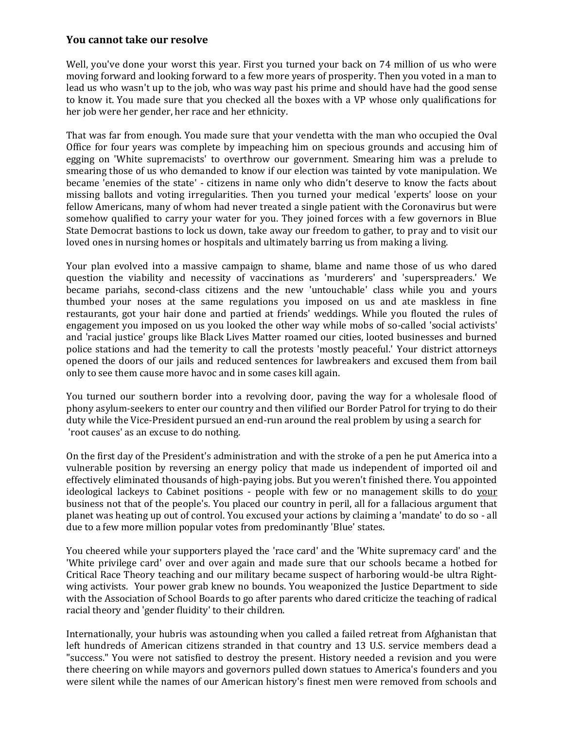## **You cannot take our resolve**

Well, you've done your worst this year. First you turned your back on 74 million of us who were moving forward and looking forward to a few more years of prosperity. Then you voted in a man to lead us who wasn't up to the job, who was way past his prime and should have had the good sense to know it. You made sure that you checked all the boxes with a VP whose only qualifications for her job were her gender, her race and her ethnicity.

That was far from enough. You made sure that your vendetta with the man who occupied the Oval Office for four years was complete by impeaching him on specious grounds and accusing him of egging on 'White supremacists' to overthrow our government. Smearing him was a prelude to smearing those of us who demanded to know if our election was tainted by vote manipulation. We became 'enemies of the state' - citizens in name only who didn't deserve to know the facts about missing ballots and voting irregularities. Then you turned your medical 'experts' loose on your fellow Americans, many of whom had never treated a single patient with the Coronavirus but were somehow qualified to carry your water for you. They joined forces with a few governors in Blue State Democrat bastions to lock us down, take away our freedom to gather, to pray and to visit our loved ones in nursing homes or hospitals and ultimately barring us from making a living.

Your plan evolved into a massive campaign to shame, blame and name those of us who dared question the viability and necessity of vaccinations as 'murderers' and 'superspreaders.' We became pariahs, second-class citizens and the new 'untouchable' class while you and yours thumbed your noses at the same regulations you imposed on us and ate maskless in fine restaurants, got your hair done and partied at friends' weddings. While you flouted the rules of engagement you imposed on us you looked the other way while mobs of so-called 'social activists' and 'racial justice' groups like Black Lives Matter roamed our cities, looted businesses and burned police stations and had the temerity to call the protests 'mostly peaceful.' Your district attorneys opened the doors of our jails and reduced sentences for lawbreakers and excused them from bail only to see them cause more havoc and in some cases kill again.

You turned our southern border into a revolving door, paving the way for a wholesale flood of phony asylum-seekers to enter our country and then vilified our Border Patrol for trying to do their duty while the Vice-President pursued an end-run around the real problem by using a search for 'root causes' as an excuse to do nothing.

On the first day of the President's administration and with the stroke of a pen he put America into a vulnerable position by reversing an energy policy that made us independent of imported oil and effectively eliminated thousands of high-paying jobs. But you weren't finished there. You appointed ideological lackeys to Cabinet positions - people with few or no management skills to do your business not that of the people's. You placed our country in peril, all for a fallacious argument that planet was heating up out of control. You excused your actions by claiming a 'mandate' to do so - all due to a few more million popular votes from predominantly 'Blue' states.

You cheered while your supporters played the 'race card' and the 'White supremacy card' and the 'White privilege card' over and over again and made sure that our schools became a hotbed for Critical Race Theory teaching and our military became suspect of harboring would-be ultra Rightwing activists. Your power grab knew no bounds. You weaponized the Justice Department to side with the Association of School Boards to go after parents who dared criticize the teaching of radical racial theory and 'gender fluidity' to their children.

Internationally, your hubris was astounding when you called a failed retreat from Afghanistan that left hundreds of American citizens stranded in that country and 13 U.S. service members dead a "success." You were not satisfied to destroy the present. History needed a revision and you were there cheering on while mayors and governors pulled down statues to America's founders and you were silent while the names of our American history's finest men were removed from schools and